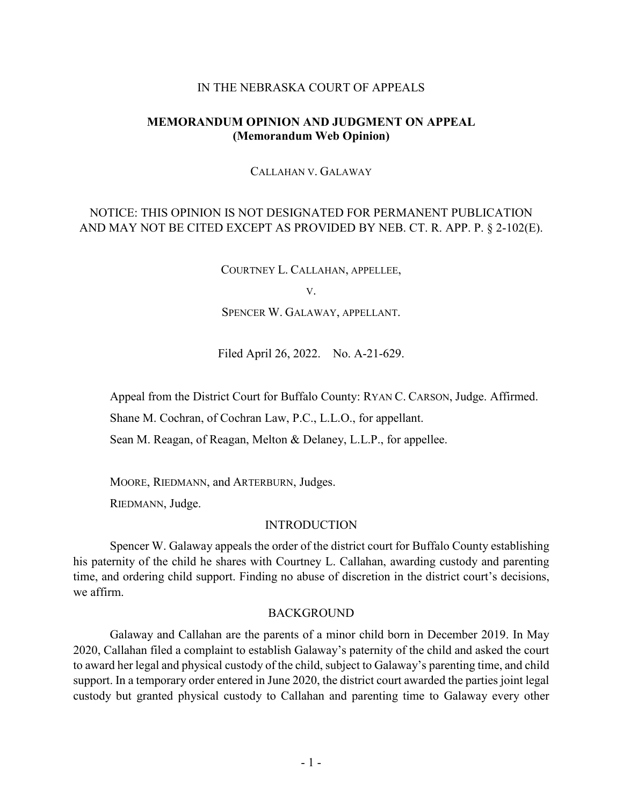### IN THE NEBRASKA COURT OF APPEALS

### **MEMORANDUM OPINION AND JUDGMENT ON APPEAL (Memorandum Web Opinion)**

CALLAHAN V. GALAWAY

# NOTICE: THIS OPINION IS NOT DESIGNATED FOR PERMANENT PUBLICATION AND MAY NOT BE CITED EXCEPT AS PROVIDED BY NEB. CT. R. APP. P. § 2-102(E).

COURTNEY L. CALLAHAN, APPELLEE,

V.

SPENCER W. GALAWAY, APPELLANT.

Filed April 26, 2022. No. A-21-629.

Appeal from the District Court for Buffalo County: RYAN C. CARSON, Judge. Affirmed.

Shane M. Cochran, of Cochran Law, P.C., L.L.O., for appellant.

Sean M. Reagan, of Reagan, Melton & Delaney, L.L.P., for appellee.

MOORE, RIEDMANN, and ARTERBURN, Judges.

RIEDMANN, Judge.

#### INTRODUCTION

Spencer W. Galaway appeals the order of the district court for Buffalo County establishing his paternity of the child he shares with Courtney L. Callahan, awarding custody and parenting time, and ordering child support. Finding no abuse of discretion in the district court's decisions, we affirm.

#### **BACKGROUND**

Galaway and Callahan are the parents of a minor child born in December 2019. In May 2020, Callahan filed a complaint to establish Galaway's paternity of the child and asked the court to award her legal and physical custody of the child, subject to Galaway's parenting time, and child support. In a temporary order entered in June 2020, the district court awarded the parties joint legal custody but granted physical custody to Callahan and parenting time to Galaway every other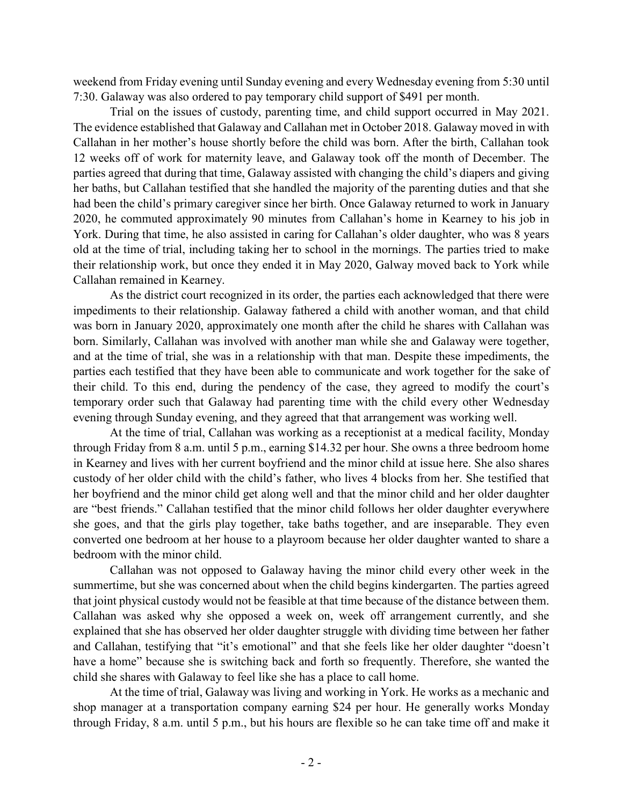weekend from Friday evening until Sunday evening and every Wednesday evening from 5:30 until 7:30. Galaway was also ordered to pay temporary child support of \$491 per month.

Trial on the issues of custody, parenting time, and child support occurred in May 2021. The evidence established that Galaway and Callahan met in October 2018. Galaway moved in with Callahan in her mother's house shortly before the child was born. After the birth, Callahan took 12 weeks off of work for maternity leave, and Galaway took off the month of December. The parties agreed that during that time, Galaway assisted with changing the child's diapers and giving her baths, but Callahan testified that she handled the majority of the parenting duties and that she had been the child's primary caregiver since her birth. Once Galaway returned to work in January 2020, he commuted approximately 90 minutes from Callahan's home in Kearney to his job in York. During that time, he also assisted in caring for Callahan's older daughter, who was 8 years old at the time of trial, including taking her to school in the mornings. The parties tried to make their relationship work, but once they ended it in May 2020, Galway moved back to York while Callahan remained in Kearney.

As the district court recognized in its order, the parties each acknowledged that there were impediments to their relationship. Galaway fathered a child with another woman, and that child was born in January 2020, approximately one month after the child he shares with Callahan was born. Similarly, Callahan was involved with another man while she and Galaway were together, and at the time of trial, she was in a relationship with that man. Despite these impediments, the parties each testified that they have been able to communicate and work together for the sake of their child. To this end, during the pendency of the case, they agreed to modify the court's temporary order such that Galaway had parenting time with the child every other Wednesday evening through Sunday evening, and they agreed that that arrangement was working well.

At the time of trial, Callahan was working as a receptionist at a medical facility, Monday through Friday from 8 a.m. until 5 p.m., earning \$14.32 per hour. She owns a three bedroom home in Kearney and lives with her current boyfriend and the minor child at issue here. She also shares custody of her older child with the child's father, who lives 4 blocks from her. She testified that her boyfriend and the minor child get along well and that the minor child and her older daughter are "best friends." Callahan testified that the minor child follows her older daughter everywhere she goes, and that the girls play together, take baths together, and are inseparable. They even converted one bedroom at her house to a playroom because her older daughter wanted to share a bedroom with the minor child.

Callahan was not opposed to Galaway having the minor child every other week in the summertime, but she was concerned about when the child begins kindergarten. The parties agreed that joint physical custody would not be feasible at that time because of the distance between them. Callahan was asked why she opposed a week on, week off arrangement currently, and she explained that she has observed her older daughter struggle with dividing time between her father and Callahan, testifying that "it's emotional" and that she feels like her older daughter "doesn't have a home" because she is switching back and forth so frequently. Therefore, she wanted the child she shares with Galaway to feel like she has a place to call home.

At the time of trial, Galaway was living and working in York. He works as a mechanic and shop manager at a transportation company earning \$24 per hour. He generally works Monday through Friday, 8 a.m. until 5 p.m., but his hours are flexible so he can take time off and make it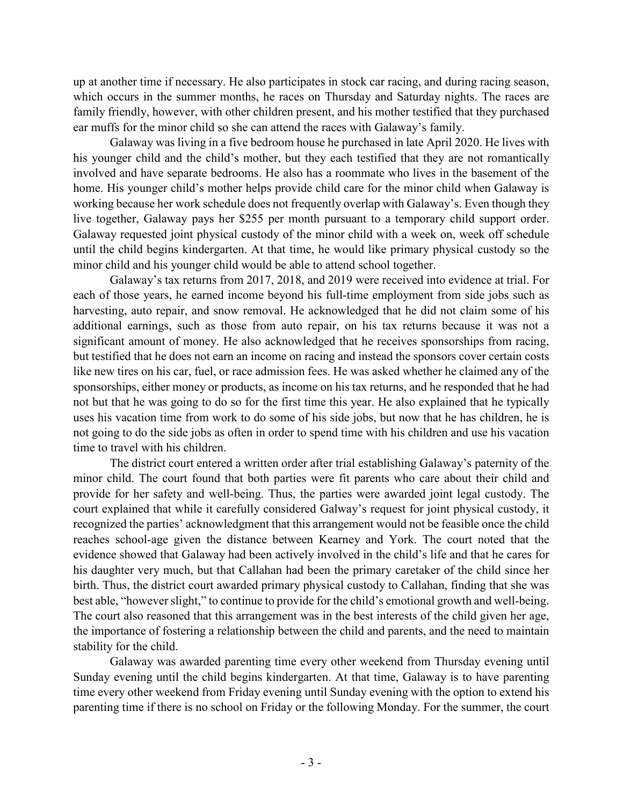up at another time if necessary. He also participates in stock car racing, and during racing season, which occurs in the summer months, he races on Thursday and Saturday nights. The races are family friendly, however, with other children present, and his mother testified that they purchased ear muffs for the minor child so she can attend the races with Galaway's family.

Galaway was living in a five bedroom house he purchased in late April 2020. He lives with his younger child and the child's mother, but they each testified that they are not romantically involved and have separate bedrooms. He also has a roommate who lives in the basement of the home. His younger child's mother helps provide child care for the minor child when Galaway is working because her work schedule does not frequently overlap with Galaway's. Even though they live together, Galaway pays her \$255 per month pursuant to a temporary child support order. Galaway requested joint physical custody of the minor child with a week on, week off schedule until the child begins kindergarten. At that time, he would like primary physical custody so the minor child and his younger child would be able to attend school together.

Galaway's tax returns from 2017, 2018, and 2019 were received into evidence at trial. For each of those years, he earned income beyond his full-time employment from side jobs such as harvesting, auto repair, and snow removal. He acknowledged that he did not claim some of his additional earnings, such as those from auto repair, on his tax returns because it was not a significant amount of money. He also acknowledged that he receives sponsorships from racing, but testified that he does not earn an income on racing and instead the sponsors cover certain costs like new tires on his car, fuel, or race admission fees. He was asked whether he claimed any of the sponsorships, either money or products, as income on his tax returns, and he responded that he had not but that he was going to do so for the first time this year. He also explained that he typically uses his vacation time from work to do some of his side jobs, but now that he has children, he is not going to do the side jobs as often in order to spend time with his children and use his vacation time to travel with his children.

The district court entered a written order after trial establishing Galaway's paternity of the minor child. The court found that both parties were fit parents who care about their child and provide for her safety and well-being. Thus, the parties were awarded joint legal custody. The court explained that while it carefully considered Galway's request for joint physical custody, it recognized the parties' acknowledgment that this arrangement would not be feasible once the child reaches school-age given the distance between Kearney and York. The court noted that the evidence showed that Galaway had been actively involved in the child's life and that he cares for his daughter very much, but that Callahan had been the primary caretaker of the child since her birth. Thus, the district court awarded primary physical custody to Callahan, finding that she was best able, "however slight," to continue to provide for the child's emotional growth and well-being. The court also reasoned that this arrangement was in the best interests of the child given her age, the importance of fostering a relationship between the child and parents, and the need to maintain stability for the child.

Galaway was awarded parenting time every other weekend from Thursday evening until Sunday evening until the child begins kindergarten. At that time, Galaway is to have parenting time every other weekend from Friday evening until Sunday evening with the option to extend his parenting time if there is no school on Friday or the following Monday. For the summer, the court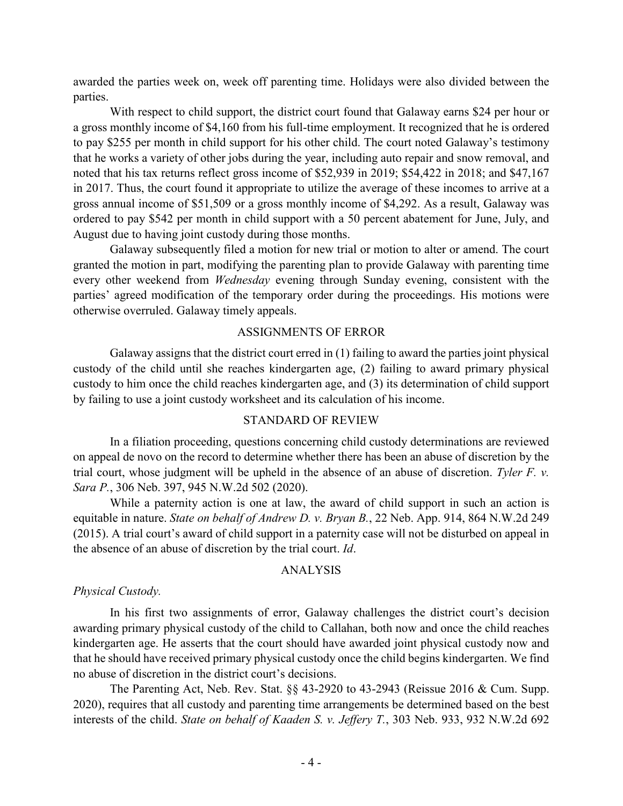awarded the parties week on, week off parenting time. Holidays were also divided between the parties.

With respect to child support, the district court found that Galaway earns \$24 per hour or a gross monthly income of \$4,160 from his full-time employment. It recognized that he is ordered to pay \$255 per month in child support for his other child. The court noted Galaway's testimony that he works a variety of other jobs during the year, including auto repair and snow removal, and noted that his tax returns reflect gross income of \$52,939 in 2019; \$54,422 in 2018; and \$47,167 in 2017. Thus, the court found it appropriate to utilize the average of these incomes to arrive at a gross annual income of \$51,509 or a gross monthly income of \$4,292. As a result, Galaway was ordered to pay \$542 per month in child support with a 50 percent abatement for June, July, and August due to having joint custody during those months.

Galaway subsequently filed a motion for new trial or motion to alter or amend. The court granted the motion in part, modifying the parenting plan to provide Galaway with parenting time every other weekend from *Wednesday* evening through Sunday evening, consistent with the parties' agreed modification of the temporary order during the proceedings. His motions were otherwise overruled. Galaway timely appeals.

#### ASSIGNMENTS OF ERROR

Galaway assigns that the district court erred in (1) failing to award the parties joint physical custody of the child until she reaches kindergarten age, (2) failing to award primary physical custody to him once the child reaches kindergarten age, and (3) its determination of child support by failing to use a joint custody worksheet and its calculation of his income.

### STANDARD OF REVIEW

In a filiation proceeding, questions concerning child custody determinations are reviewed on appeal de novo on the record to determine whether there has been an abuse of discretion by the trial court, whose judgment will be upheld in the absence of an abuse of discretion. *Tyler F. v. Sara P.*, 306 Neb. 397, 945 N.W.2d 502 (2020).

While a paternity action is one at law, the award of child support in such an action is equitable in nature. *State on behalf of Andrew D. v. Bryan B.*, 22 Neb. App. 914, 864 N.W.2d 249 (2015). A trial court's award of child support in a paternity case will not be disturbed on appeal in the absence of an abuse of discretion by the trial court. *Id*.

### ANALYSIS

#### *Physical Custody.*

In his first two assignments of error, Galaway challenges the district court's decision awarding primary physical custody of the child to Callahan, both now and once the child reaches kindergarten age. He asserts that the court should have awarded joint physical custody now and that he should have received primary physical custody once the child begins kindergarten. We find no abuse of discretion in the district court's decisions.

The Parenting Act, Neb. Rev. Stat. §§ 43-2920 to 43-2943 (Reissue 2016 & Cum. Supp. 2020), requires that all custody and parenting time arrangements be determined based on the best interests of the child. *State on behalf of Kaaden S. v. Jeffery T.*, 303 Neb. 933, 932 N.W.2d 692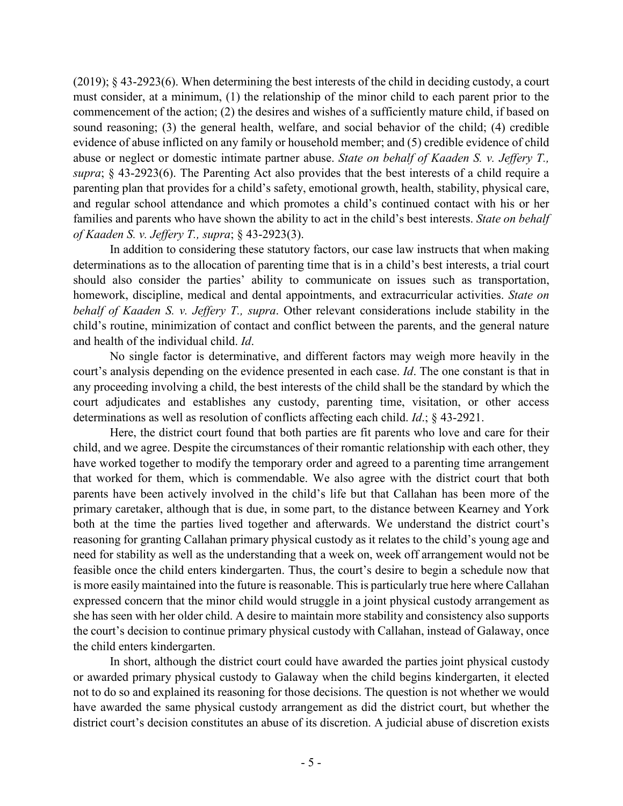(2019); § 43-2923(6). When determining the best interests of the child in deciding custody, a court must consider, at a minimum, (1) the relationship of the minor child to each parent prior to the commencement of the action; (2) the desires and wishes of a sufficiently mature child, if based on sound reasoning; (3) the general health, welfare, and social behavior of the child; (4) credible evidence of abuse inflicted on any family or household member; and (5) credible evidence of child abuse or neglect or domestic intimate partner abuse. *State on behalf of Kaaden S. v. Jeffery T., supra*; § 43-2923(6). The Parenting Act also provides that the best interests of a child require a parenting plan that provides for a child's safety, emotional growth, health, stability, physical care, and regular school attendance and which promotes a child's continued contact with his or her families and parents who have shown the ability to act in the child's best interests. *State on behalf of Kaaden S. v. Jeffery T., supra*; § 43-2923(3).

In addition to considering these statutory factors, our case law instructs that when making determinations as to the allocation of parenting time that is in a child's best interests, a trial court should also consider the parties' ability to communicate on issues such as transportation, homework, discipline, medical and dental appointments, and extracurricular activities. *State on behalf of Kaaden S. v. Jeffery T., supra*. Other relevant considerations include stability in the child's routine, minimization of contact and conflict between the parents, and the general nature and health of the individual child. *Id*.

No single factor is determinative, and different factors may weigh more heavily in the court's analysis depending on the evidence presented in each case. *Id*. The one constant is that in any proceeding involving a child, the best interests of the child shall be the standard by which the court adjudicates and establishes any custody, parenting time, visitation, or other access determinations as well as resolution of conflicts affecting each child. *Id*.; § 43-2921.

Here, the district court found that both parties are fit parents who love and care for their child, and we agree. Despite the circumstances of their romantic relationship with each other, they have worked together to modify the temporary order and agreed to a parenting time arrangement that worked for them, which is commendable. We also agree with the district court that both parents have been actively involved in the child's life but that Callahan has been more of the primary caretaker, although that is due, in some part, to the distance between Kearney and York both at the time the parties lived together and afterwards. We understand the district court's reasoning for granting Callahan primary physical custody as it relates to the child's young age and need for stability as well as the understanding that a week on, week off arrangement would not be feasible once the child enters kindergarten. Thus, the court's desire to begin a schedule now that is more easily maintained into the future is reasonable. This is particularly true here where Callahan expressed concern that the minor child would struggle in a joint physical custody arrangement as she has seen with her older child. A desire to maintain more stability and consistency also supports the court's decision to continue primary physical custody with Callahan, instead of Galaway, once the child enters kindergarten.

In short, although the district court could have awarded the parties joint physical custody or awarded primary physical custody to Galaway when the child begins kindergarten, it elected not to do so and explained its reasoning for those decisions. The question is not whether we would have awarded the same physical custody arrangement as did the district court, but whether the district court's decision constitutes an abuse of its discretion. A judicial abuse of discretion exists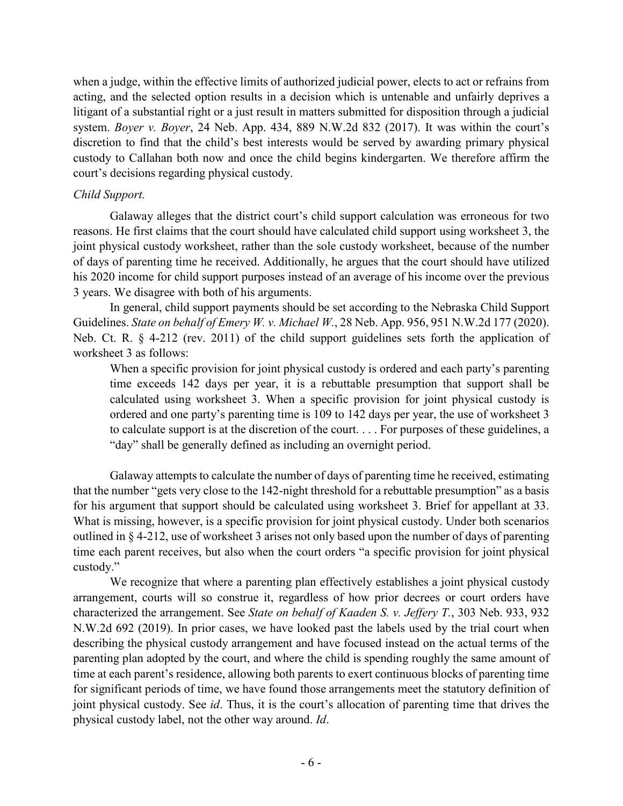when a judge, within the effective limits of authorized judicial power, elects to act or refrains from acting, and the selected option results in a decision which is untenable and unfairly deprives a litigant of a substantial right or a just result in matters submitted for disposition through a judicial system. *Boyer v. Boyer*, 24 Neb. App. 434, 889 N.W.2d 832 (2017). It was within the court's discretion to find that the child's best interests would be served by awarding primary physical custody to Callahan both now and once the child begins kindergarten. We therefore affirm the court's decisions regarding physical custody.

## *Child Support.*

Galaway alleges that the district court's child support calculation was erroneous for two reasons. He first claims that the court should have calculated child support using worksheet 3, the joint physical custody worksheet, rather than the sole custody worksheet, because of the number of days of parenting time he received. Additionally, he argues that the court should have utilized his 2020 income for child support purposes instead of an average of his income over the previous 3 years. We disagree with both of his arguments.

In general, child support payments should be set according to the Nebraska Child Support Guidelines. *State on behalf of Emery W. v. Michael W.*, 28 Neb. App. 956, 951 N.W.2d 177 (2020). Neb. Ct. R. § 4-212 (rev. 2011) of the child support guidelines sets forth the application of worksheet 3 as follows:

When a specific provision for joint physical custody is ordered and each party's parenting time exceeds 142 days per year, it is a rebuttable presumption that support shall be calculated using worksheet 3. When a specific provision for joint physical custody is ordered and one party's parenting time is 109 to 142 days per year, the use of worksheet 3 to calculate support is at the discretion of the court. . . . For purposes of these guidelines, a "day" shall be generally defined as including an overnight period.

Galaway attempts to calculate the number of days of parenting time he received, estimating that the number "gets very close to the 142-night threshold for a rebuttable presumption" as a basis for his argument that support should be calculated using worksheet 3. Brief for appellant at 33. What is missing, however, is a specific provision for joint physical custody. Under both scenarios outlined in § 4-212, use of worksheet 3 arises not only based upon the number of days of parenting time each parent receives, but also when the court orders "a specific provision for joint physical custody."

We recognize that where a parenting plan effectively establishes a joint physical custody arrangement, courts will so construe it, regardless of how prior decrees or court orders have characterized the arrangement. See *State on behalf of Kaaden S. v. Jeffery T.*, 303 Neb. 933, 932 N.W.2d 692 (2019). In prior cases, we have looked past the labels used by the trial court when describing the physical custody arrangement and have focused instead on the actual terms of the parenting plan adopted by the court, and where the child is spending roughly the same amount of time at each parent's residence, allowing both parents to exert continuous blocks of parenting time for significant periods of time, we have found those arrangements meet the statutory definition of joint physical custody. See *id*. Thus, it is the court's allocation of parenting time that drives the physical custody label, not the other way around. *Id*.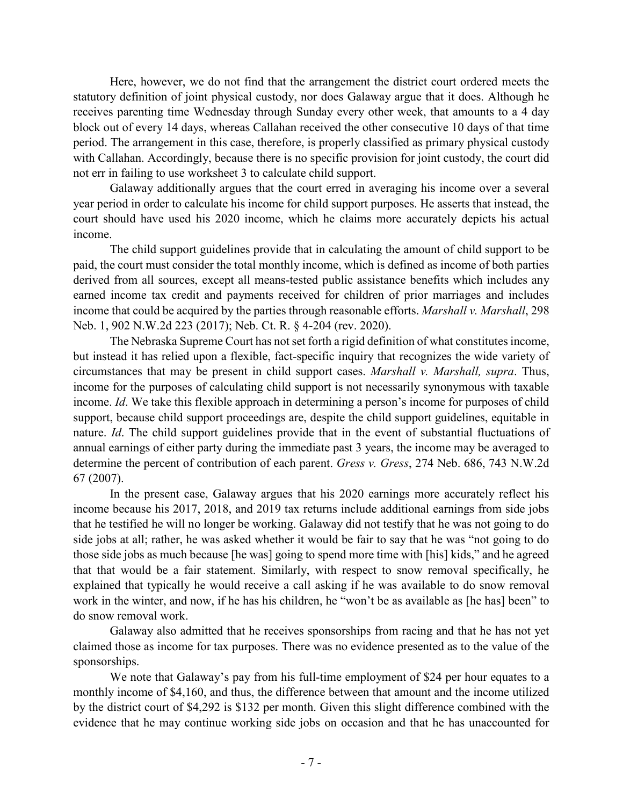Here, however, we do not find that the arrangement the district court ordered meets the statutory definition of joint physical custody, nor does Galaway argue that it does. Although he receives parenting time Wednesday through Sunday every other week, that amounts to a 4 day block out of every 14 days, whereas Callahan received the other consecutive 10 days of that time period. The arrangement in this case, therefore, is properly classified as primary physical custody with Callahan. Accordingly, because there is no specific provision for joint custody, the court did not err in failing to use worksheet 3 to calculate child support.

Galaway additionally argues that the court erred in averaging his income over a several year period in order to calculate his income for child support purposes. He asserts that instead, the court should have used his 2020 income, which he claims more accurately depicts his actual income.

The child support guidelines provide that in calculating the amount of child support to be paid, the court must consider the total monthly income, which is defined as income of both parties derived from all sources, except all means-tested public assistance benefits which includes any earned income tax credit and payments received for children of prior marriages and includes income that could be acquired by the parties through reasonable efforts. *Marshall v. Marshall*, 298 Neb. 1, 902 N.W.2d 223 (2017); Neb. Ct. R. § 4-204 (rev. 2020).

The Nebraska Supreme Court has not set forth a rigid definition of what constitutes income, but instead it has relied upon a flexible, fact-specific inquiry that recognizes the wide variety of circumstances that may be present in child support cases. *Marshall v. Marshall, supra*. Thus, income for the purposes of calculating child support is not necessarily synonymous with taxable income. *Id*. We take this flexible approach in determining a person's income for purposes of child support, because child support proceedings are, despite the child support guidelines, equitable in nature. *Id*. The child support guidelines provide that in the event of substantial fluctuations of annual earnings of either party during the immediate past 3 years, the income may be averaged to determine the percent of contribution of each parent. *Gress v. Gress*, 274 Neb. 686, 743 N.W.2d 67 (2007).

In the present case, Galaway argues that his 2020 earnings more accurately reflect his income because his 2017, 2018, and 2019 tax returns include additional earnings from side jobs that he testified he will no longer be working. Galaway did not testify that he was not going to do side jobs at all; rather, he was asked whether it would be fair to say that he was "not going to do those side jobs as much because [he was] going to spend more time with [his] kids," and he agreed that that would be a fair statement. Similarly, with respect to snow removal specifically, he explained that typically he would receive a call asking if he was available to do snow removal work in the winter, and now, if he has his children, he "won't be as available as [he has] been" to do snow removal work.

Galaway also admitted that he receives sponsorships from racing and that he has not yet claimed those as income for tax purposes. There was no evidence presented as to the value of the sponsorships.

We note that Galaway's pay from his full-time employment of \$24 per hour equates to a monthly income of \$4,160, and thus, the difference between that amount and the income utilized by the district court of \$4,292 is \$132 per month. Given this slight difference combined with the evidence that he may continue working side jobs on occasion and that he has unaccounted for